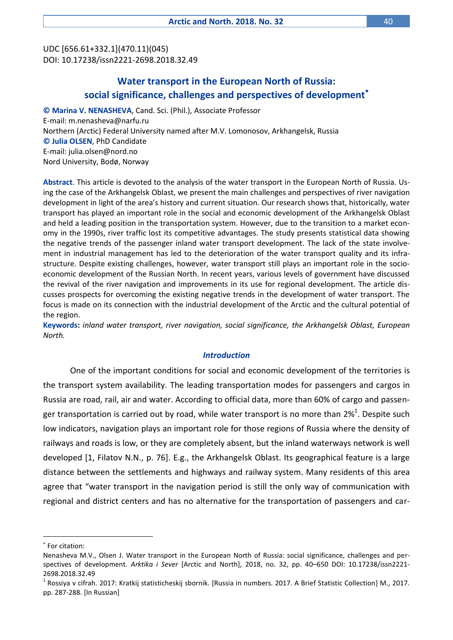UDC [656.61+332.1](470.11)(045) DOI: 10.17238/issn2221-2698.2018.32.49

# **Water transport in the European North of Russia: social significance, challenges and perspectives of development**

**© Marina V. NENASHEVA**, Cand. Sci. (Phil.), Associate Professor E-mail: m.nenasheva@narfu.ru Northern (Arctic) Federal University named after M.V. Lomonosov, Arkhangelsk, Russia **© Julia OLSEN**, PhD Candidate E-mail: julia.olsen@nord.no Nord University, Bodø, Norway

**Abstract**. This article is devoted to the analysis of the water transport in the European North of Russia. Using the case of the Arkhangelsk Oblast, we present the main challenges and perspectives of river navigation development in light of the area's history and current situation. Our research shows that, historically, water transport has played an important role in the social and economic development of the Arkhangelsk Oblast and held a leading position in the transportation system. However, due to the transition to a market economy in the 1990s, river traffic lost its competitive advantages. The study presents statistical data showing the negative trends of the passenger inland water transport development. The lack of the state involvement in industrial management has led to the deterioration of the water transport quality and its infrastructure. Despite existing challenges, however, water transport still plays an important role in the socioeconomic development of the Russian North. In recent years, various levels of government have discussed the revival of the river navigation and improvements in its use for regional development. The article discusses prospects for overcoming the existing negative trends in the development of water transport. The focus is made on its connection with the industrial development of the Arctic and the cultural potential of the region.

**Keywords:** *inland water transport, river navigation, social significance, the Arkhangelsk Oblast, European North.*

# *Introduction*

One of the important conditions for social and economic development of the territories is the transport system availability. The leading transportation modes for passengers and cargos in Russia are road, rail, air and water. According to official data, more than 60% of cargo and passenger transportation is carried out by road, while water transport is no more than 2%<sup>1</sup>. Despite such low indicators, navigation plays an important role for those regions of Russia where the density of railways and roads is low, or they are completely absent, but the inland waterways network is well developed [1, Filatov N.N., p. 76]. E.g., the Arkhangelsk Oblast. Its geographical feature is a large distance between the settlements and highways and railway system. Many residents of this area agree that "water transport in the navigation period is still the only way of communication with regional and district centers and has no alternative for the transportation of passengers and car-

For citation:

Nenasheva M.V., Olsen J. Water transport in the European North of Russia: social significance, challenges and perspectives of development. *Arktika i Sever* [Arctic and North], 2018, no. 32, pp. 40–650 DOI: 10.17238/issn2221- 2698.2018.32.49

 $^1$  Rossiya v cifrah. 2017: Kratkij statisticheskij sbornik. [Russia in numbers. 2017. A Brief Statistic Collection] M., 2017. pp. 287-288. [In Russian]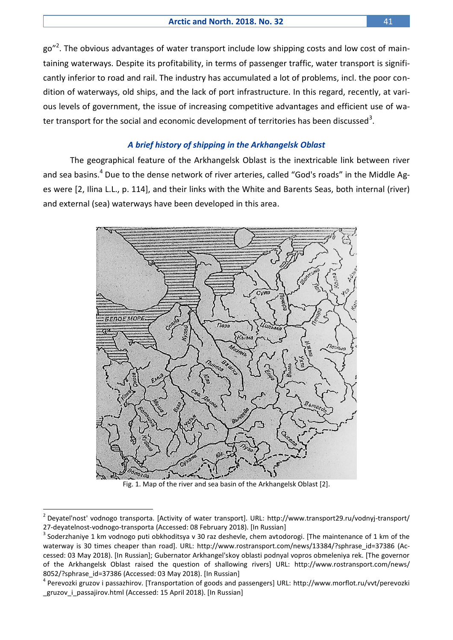go"<sup>2</sup>. The obvious advantages of water transport include low shipping costs and low cost of maintaining waterways. Despite its profitability, in terms of passenger traffic, water transport is significantly inferior to road and rail. The industry has accumulated a lot of problems, incl. the poor condition of waterways, old ships, and the lack of port infrastructure. In this regard, recently, at various levels of government, the issue of increasing competitive advantages and efficient use of water transport for the social and economic development of territories has been discussed<sup>3</sup>.

# *A brief history of shipping in the Arkhangelsk Oblast*

The geographical feature of the Arkhangelsk Oblast is the inextricable link between river and sea basins.<sup>4</sup> Due to the dense network of river arteries, called "God's roads" in the Middle Ages were [2, Ilina L.L., p. 114], and their links with the White and Barents Seas, both internal (river) and external (sea) waterways have been developed in this area.





<sup>2</sup> Deyatel'nost' vodnogo transporta. [Activity of water transport]. URL: [http://www.transport29.ru/vodnyj-transport/](http://www.transport29.ru/vodnyj-transport/%2027-deyatelnost-vodnogo-transporta)  [27-deyatelnost-vodnogo-transporta](http://www.transport29.ru/vodnyj-transport/%2027-deyatelnost-vodnogo-transporta) (Accessed: 08 February 2018). [In Russian]

 $^3$  Soderzhaniye 1 km vodnogo puti obkhoditsya v 30 raz deshevle, chem avtodorogi. [The maintenance of 1 km of the waterway is 30 times cheaper than road]. URL: [http://www.rostransport.com/news/13384/?sphrase\\_id=37386](http://www.rostransport.com/news/13384/?sphrase_id=37386) (Accessed: 03 May 2018). [In Russian]; Gubernator Arkhangel'skoy oblasti podnyal vopros obmeleniya rek. [The governor of the Arkhangelsk Oblast raised the question of shallowing rivers] URL: [http://www.rostransport.com/news/](http://www.rostransport.com/news/%208052/?sphrase_id=37386)  [8052/?sphrase\\_id=37386](http://www.rostransport.com/news/%208052/?sphrase_id=37386) (Accessed: 03 May 2018). [In Russian]

<sup>&</sup>lt;sup>4</sup> Perevozki gruzov i passazhirov. [Transportation of goods and passengers] URL: http://www.morflot.ru/vvt/perevozki [\\_gruzov\\_i\\_passajirov.html](http://www.morflot.ru/vvt/perevozki%20_gruzov_i_passajirov.html) (Accessed: 15 April 2018). [In Russian]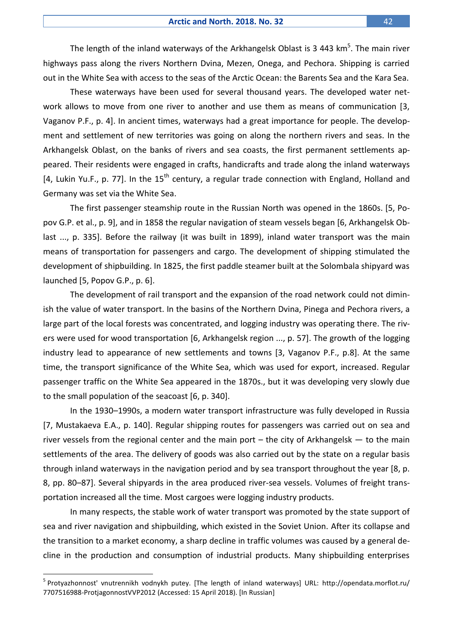The length of the inland waterways of the Arkhangelsk Oblast is 3 443  $\text{km}^5$ . The main river highways pass along the rivers Northern Dvina, Mezen, Onega, and Pechora. Shipping is carried out in the White Sea with access to the seas of the Arctic Ocean: the Barents Sea and the Kara Sea.

These waterways have been used for several thousand years. The developed water network allows to move from one river to another and use them as means of communication [3, Vaganov P.F., p. 4]. In ancient times, waterways had a great importance for people. The development and settlement of new territories was going on along the northern rivers and seas. In the Arkhangelsk Oblast, on the banks of rivers and sea coasts, the first permanent settlements appeared. Their residents were engaged in crafts, handicrafts and trade along the inland waterways [4, Lukin Yu.F., p. 77]. In the  $15<sup>th</sup>$  century, a regular trade connection with England, Holland and Germany was set via the White Sea.

The first passenger steamship route in the Russian North was opened in the 1860s. [5, Popov G.P. et al., p. 9], and in 1858 the regular navigation of steam vessels began [6, Arkhangelsk Oblast ..., p. 335]. Before the railway (it was built in 1899), inland water transport was the main means of transportation for passengers and cargo. The development of shipping stimulated the development of shipbuilding. In 1825, the first paddle steamer built at the Solombala shipyard was launched [5, Popov G.P., p. 6].

The development of rail transport and the expansion of the road network could not diminish the value of water transport. In the basins of the Northern Dvina, Pinega and Pechora rivers, a large part of the local forests was concentrated, and logging industry was operating there. The rivers were used for wood transportation [6, Arkhangelsk region ..., p. 57]. The growth of the logging industry lead to appearance of new settlements and towns [3, Vaganov P.F., p.8]. At the same time, the transport significance of the White Sea, which was used for export, increased. Regular passenger traffic on the White Sea appeared in the 1870s., but it was developing very slowly due to the small population of the seacoast [6, p. 340].

In the 1930–1990s, a modern water transport infrastructure was fully developed in Russia [7, Mustakaeva E.A., p. 140]. Regular shipping routes for passengers was carried out on sea and river vessels from the regional center and the main port  $-$  the city of Arkhangelsk  $-$  to the main settlements of the area. The delivery of goods was also carried out by the state on a regular basis through inland waterways in the navigation period and by sea transport throughout the year [8, p. 8, pp. 80–87]. Several shipyards in the area produced river-sea vessels. Volumes of freight transportation increased all the time. Most cargoes were logging industry products.

In many respects, the stable work of water transport was promoted by the state support of sea and river navigation and shipbuilding, which existed in the Soviet Union. After its collapse and the transition to a market economy, a sharp decline in traffic volumes was caused by a general decline in the production and consumption of industrial products. Many shipbuilding enterprises

<sup>&</sup>lt;sup>5</sup> Protyazhonnost' vnutrennikh vodnykh putey. [The length of inland waterways] URL: http://opendata.morflot.ru/ [7707516988-ProtjagonnostVVP2012](http://opendata.morflot.ru/%207707516988-ProtjagonnostVVP2012) (Accessed: 15 April 2018). [In Russian]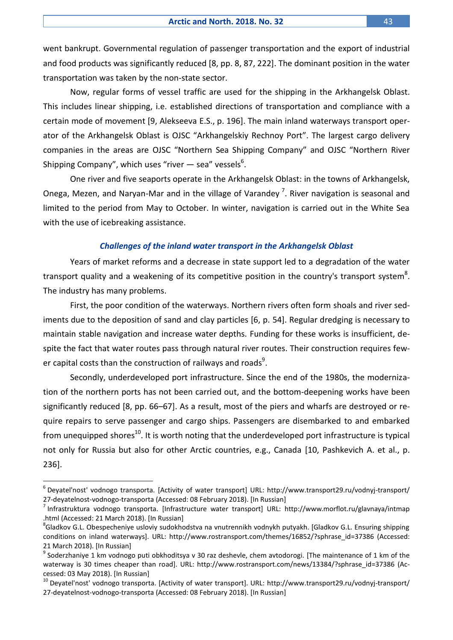went bankrupt. Governmental regulation of passenger transportation and the export of industrial and food products was significantly reduced [8, pp. 8, 87, 222]. The dominant position in the water transportation was taken by the non-state sector.

Now, regular forms of vessel traffic are used for the shipping in the Arkhangelsk Oblast. This includes linear shipping, i.e. established directions of transportation and compliance with a certain mode of movement [9, Alekseeva E.S., p. 196]. The main inland waterways transport operator of the Arkhangelsk Oblast is OJSC "Arkhangelskiy Rechnoy Port". The largest cargo delivery companies in the areas are OJSC "Northern Sea Shipping Company" and OJSC "Northern River Shipping Company", which uses "river — sea" vessels $^6$ .

One river and five seaports operate in the Arkhangelsk Oblast: in the towns of Arkhangelsk, Onega, Mezen, and Naryan-Mar and in the village of Varandey<sup>7</sup>. River navigation is seasonal and limited to the period from May to October. In winter, navigation is carried out in the White Sea with the use of icebreaking assistance.

# *Challenges of the inland water transport in the Arkhangelsk Oblast*

Years of market reforms and a decrease in state support led to a degradation of the water transport quality and a weakening of its competitive position in the country's transport system<sup>8</sup>. The industry has many problems.

First, the poor condition of the waterways. Northern rivers often form shoals and river sediments due to the deposition of sand and clay particles [6, p. 54]. Regular dredging is necessary to maintain stable navigation and increase water depths. Funding for these works is insufficient, despite the fact that water routes pass through natural river routes. Their construction requires fewer capital costs than the construction of railways and roads $^9$ .

Secondly, underdeveloped port infrastructure. Since the end of the 1980s, the modernization of the northern ports has not been carried out, and the bottom-deepening works have been significantly reduced [8, pp. 66–67]. As a result, most of the piers and wharfs are destroyed or require repairs to serve passenger and cargo ships. Passengers are disembarked to and embarked from unequipped shores<sup>10</sup>. It is worth noting that the underdeveloped port infrastructure is typical not only for Russia but also for other Arctic countries, e.g., Canada [10, Pashkevich A. et al., p. 236].

<sup>6</sup> Deyatel'nost' vodnogo transporta. [Activity of water transport] URL:<http://www.transport29.ru/vodnyj-transport/> 27-deyatelnost-vodnogo-transporta (Accessed: 08 February 2018). [In Russian]

<sup>&</sup>lt;sup>7</sup> Infrastruktura vodnogo transporta. [Infrastructure water transport] URL: http://www.morflot.ru/glavnaya/intmap [.html](http://www.morflot.ru/glavnaya/intmap%20.html) (Accessed: 21 March 2018). [In Russian]

<sup>&</sup>lt;sup>8</sup>Gladkov G.L. Obespecheniye usloviy sudokhodstva na vnutrennikh vodnykh putyakh. [Gladkov G.L. Ensuring shipping conditions on inland waterways]. URL: [http://www.rostransport.com/themes/16852/?sphrase\\_id=37386](http://www.rostransport.com/themes/16852/?sphrase_id=37386) (Accessed: 21 March 2018). [In Russian]

 $^9$  Soderzhaniye 1 km vodnogo puti obkhoditsya v 30 raz deshevle, chem avtodorogi. [The maintenance of 1 km of the waterway is 30 times cheaper than road]. URL: [http://www.rostransport.com/news/13384/?sphrase\\_id=37386](http://www.rostransport.com/news/13384/?sphrase_id=37386) (Accessed: 03 May 2018). [In Russian]

<sup>&</sup>lt;sup>10</sup> Deyatel'nost' vodnogo transporta. [Activity of water transport]. URL:<http://www.transport29.ru/vodnyj-transport/> 27-deyatelnost-vodnogo-transporta (Accessed: 08 February 2018). [In Russian]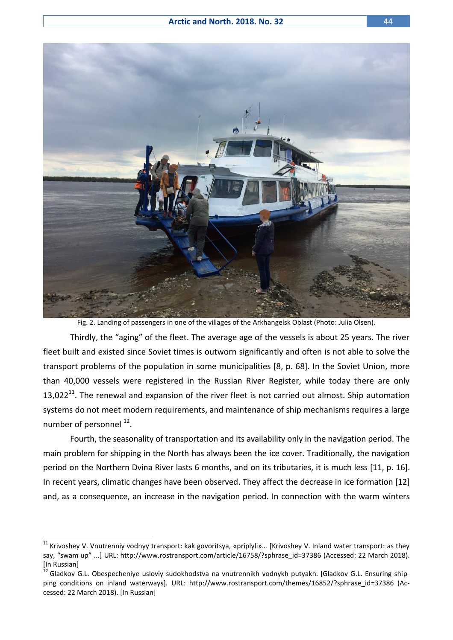

Fig. 2. Landing of passengers in one of the villages of the Arkhangelsk Oblast (Photo: Julia Olsen).

Thirdly, the "aging" of the fleet. The average age of the vessels is about 25 years. The river fleet built and existed since Soviet times is outworn significantly and often is not able to solve the transport problems of the population in some municipalities [8, p. 68]. In the Soviet Union, more than 40,000 vessels were registered in the Russian River Register, while today there are only 13,022<sup>11</sup>. The renewal and expansion of the river fleet is not carried out almost. Ship automation systems do not meet modern requirements, and maintenance of ship mechanisms requires a large number of personnel <sup>12</sup>.

Fourth, the seasonality of transportation and its availability only in the navigation period. The main problem for shipping in the North has always been the ice cover. Traditionally, the navigation period on the Northern Dvina River lasts 6 months, and on its tributaries, it is much less [11, p. 16]. In recent years, climatic changes have been observed. They affect the decrease in ice formation [12] and, as a consequence, an increase in the navigation period. In connection with the warm winters

 $11$  Krivoshey V. Vnutrenniy vodnyy transport: kak govoritsya, «priplyli»... [Krivoshey V. Inland water transport: as they say, "swam up" ...] URL: [http://www.rostransport.com/article/16758/?sphrase\\_id=37386](http://www.rostransport.com/article/16758/?sphrase_id=37386) (Accessed: 22 March 2018). [In Russian]

<sup>&</sup>lt;sup>12</sup> Gladkov G.L. Obespecheniye usloviy sudokhodstva na vnutrennikh vodnykh putyakh. [Gladkov G.L. Ensuring shipping conditions on inland waterways]. URL: [http://www.rostransport.com/themes/16852/?sphrase\\_id=37386](http://www.rostransport.com/themes/16852/?sphrase_id=37386) (Accessed: 22 March 2018). [In Russian]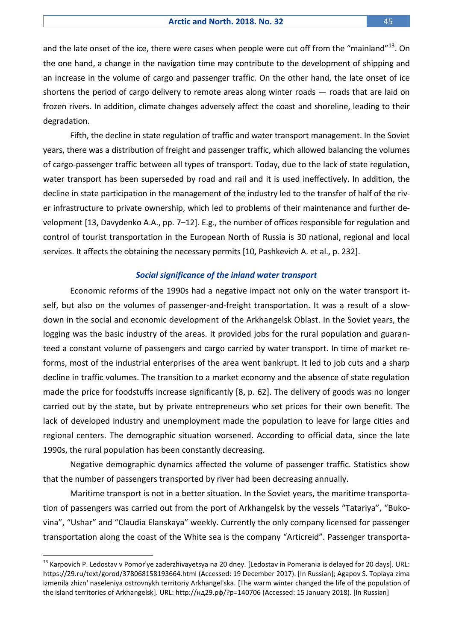and the late onset of the ice, there were cases when people were cut off from the "mainland"<sup>13</sup>. On the one hand, a change in the navigation time may contribute to the development of shipping and an increase in the volume of cargo and passenger traffic. On the other hand, the late onset of ice shortens the period of cargo delivery to remote areas along winter roads – roads that are laid on frozen rivers. In addition, climate changes adversely affect the coast and shoreline, leading to their degradation.

Fifth, the decline in state regulation of traffic and water transport management. In the Soviet years, there was a distribution of freight and passenger traffic, which allowed balancing the volumes of cargo-passenger traffic between all types of transport. Today, due to the lack of state regulation, water transport has been superseded by road and rail and it is used ineffectively. In addition, the decline in state participation in the management of the industry led to the transfer of half of the river infrastructure to private ownership, which led to problems of their maintenance and further development [13, Davydenko A.A., pp. 7–12]. E.g., the number of offices responsible for regulation and control of tourist transportation in the European North of Russia is 30 national, regional and local services. It affects the obtaining the necessary permits [10, Pashkevich A. et al., p. 232].

#### *Social significance of the inland water transport*

Economic reforms of the 1990s had a negative impact not only on the water transport itself, but also on the volumes of passenger-and-freight transportation. It was a result of a slowdown in the social and economic development of the Arkhangelsk Oblast. In the Soviet years, the logging was the basic industry of the areas. It provided jobs for the rural population and guaranteed a constant volume of passengers and cargo carried by water transport. In time of market reforms, most of the industrial enterprises of the area went bankrupt. It led to job cuts and a sharp decline in traffic volumes. The transition to a market economy and the absence of state regulation made the price for foodstuffs increase significantly [8, p. 62]. The delivery of goods was no longer carried out by the state, but by private entrepreneurs who set prices for their own benefit. The lack of developed industry and unemployment made the population to leave for large cities and regional centers. The demographic situation worsened. According to official data, since the late 1990s, the rural population has been constantly decreasing.

Negative demographic dynamics affected the volume of passenger traffic. Statistics show that the number of passengers transported by river had been decreasing annually.

Maritime transport is not in a better situation. In the Soviet years, the maritime transportation of passengers was carried out from the port of Arkhangelsk by the vessels "Tatariya", "Bukovina", "Ushar" and "Claudia Elanskaya" weekly. Currently the only company licensed for passenger transportation along the coast of the White sea is the company "Articreid". Passenger transporta-

<sup>&</sup>lt;sup>13</sup> Karpovich P. Ledostav v Pomor'ye zaderzhivayetsya na 20 dney. [Ledostav in Pomerania is delayed for 20 days]. URL: <https://29.ru/text/gorod/378068158193664.html> (Accessed: 19 December 2017). [In Russian]; Agapov S. Toplaya zima izmenila zhizn' naseleniya ostrovnykh territoriy Arkhangel'ska. [The warm winter changed the life of the population of the island territories of Arkhangelsk]. URL: http://нд29.рф[/?p=140706](http://нд29.рф/?p=140706) (Accessed: 15 January 2018). [In Russian]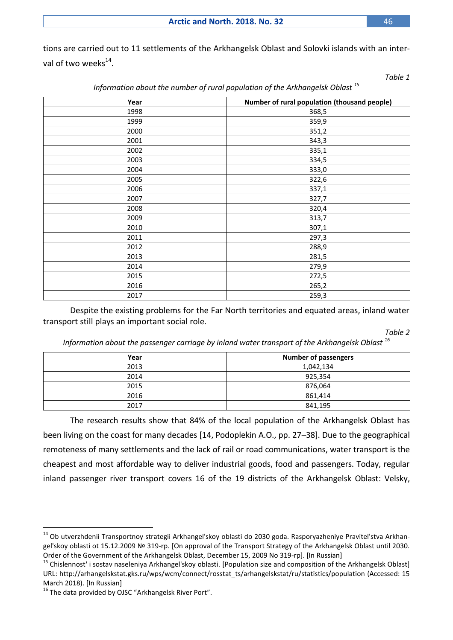**Arctic and North. 2018. No. 32** 46

tions are carried out to 11 settlements of the Arkhangelsk Oblast and Solovki islands with an interval of two weeks $^{14}$ .

| Year | Number of rural population (thousand people) |
|------|----------------------------------------------|
| 1998 | 368,5                                        |
| 1999 | 359,9                                        |
| 2000 | 351,2                                        |
| 2001 | 343,3                                        |
| 2002 | 335,1                                        |
| 2003 | 334,5                                        |
| 2004 | 333,0                                        |
| 2005 | 322,6                                        |
| 2006 | 337,1                                        |
| 2007 | 327,7                                        |
| 2008 | 320,4                                        |
| 2009 | 313,7                                        |
| 2010 | 307,1                                        |
| 2011 | 297,3                                        |
| 2012 | 288,9                                        |
| 2013 | 281,5                                        |
| 2014 | 279,9                                        |
| 2015 | 272,5                                        |
| 2016 | 265,2                                        |
| 2017 | 259,3                                        |

*Information about the number of rural population of the Arkhangelsk Oblast <sup>15</sup>*

Despite the existing problems for the Far North territories and equated areas, inland water transport still plays an important social role.

*Table 2*

*Information about the passenger carriage by inland water transport of the Arkhangelsk Oblast <sup>16</sup>*

| Year | <b>Number of passengers</b> |
|------|-----------------------------|
| 2013 | 1,042,134                   |
| 2014 | 925,354                     |
| 2015 | 876,064                     |
| 2016 | 861,414                     |
| 2017 | 841,195                     |

The research results show that 84% of the local population of the Arkhangelsk Oblast has been living on the coast for many decades [14, Podoplekin A.O., pp. 27–38]. Due to the geographical remoteness of many settlements and the lack of rail or road communications, water transport is the cheapest and most affordable way to deliver industrial goods, food and passengers. Today, regular inland passenger river transport covers 16 of the 19 districts of the Arkhangelsk Oblast: Velsky,

<sup>&</sup>lt;sup>14</sup> Ob utverzhdenii Transportnoy strategii Arkhangel'skoy oblasti do 2030 goda. Rasporyazheniye Pravitel'stva Arkhangel'skoy oblasti ot 15.12.2009 № 319-rp. [On approval of the Transport Strategy of the Arkhangelsk Oblast until 2030. Order of the Government of the Arkhangelsk Oblast, December 15, 2009 No 319-rp]. [In Russian]

<sup>&</sup>lt;sup>15</sup> Chislennost' i sostav naseleniya Arkhangel'skoy oblasti. [Population size and composition of the Arkhangelsk Oblast] URL: [http://arhangelskstat.gks.ru/wps/wcm/connect/rosstat\\_ts/arhangelskstat/ru/statistics/population](http://arhangelskstat.gks.ru/wps/wcm/connect/rosstat_ts/arhangelskstat/ru/statistics/population) (Accessed: 15 March 2018). [In Russian]

<sup>&</sup>lt;sup>16</sup> The data provided by OJSC "Arkhangelsk River Port".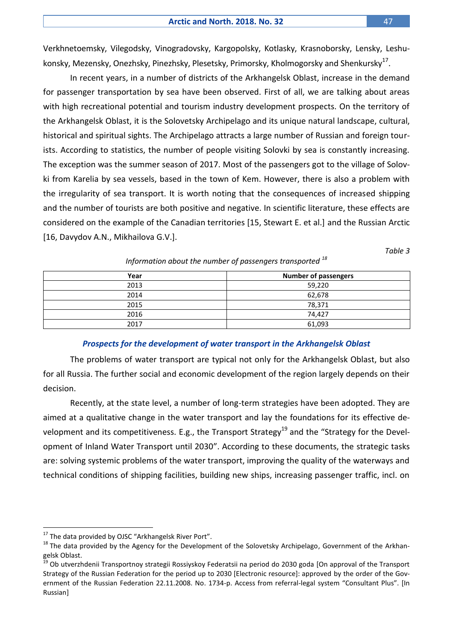Verkhnetoemsky, Vilegodsky, Vinogradovsky, Kargopolsky, Kotlasky, Krasnoborsky, Lensky, Leshukonsky, Mezensky, Onezhsky, Pinezhsky, Plesetsky, Primorsky, Kholmogorsky and Shenkursky $^{17}$ .

In recent years, in a number of districts of the Arkhangelsk Oblast, increase in the demand for passenger transportation by sea have been observed. First of all, we are talking about areas with high recreational potential and tourism industry development prospects. On the territory of the Arkhangelsk Oblast, it is the Solovetsky Archipelago and its unique natural landscape, cultural, historical and spiritual sights. The Archipelago attracts a large number of Russian and foreign tourists. According to statistics, the number of people visiting Solovki by sea is constantly increasing. The exception was the summer season of 2017. Most of the passengers got to the village of Solovki from Karelia by sea vessels, based in the town of Kem. However, there is also a problem with the irregularity of sea transport. It is worth noting that the consequences of increased shipping and the number of tourists are both positive and negative. In scientific literature, these effects are considered on the example of the Canadian territories [15, Stewart E. et al.] and the Russian Arctic [16, Davydov A.N., Mikhailova G.V.].

*Table 3*

| Year | <b>Number of passengers</b> |
|------|-----------------------------|
| 2013 | 59,220                      |
| 2014 | 62,678                      |
| 2015 | 78,371                      |
| 2016 | 74.427                      |
| 2017 | 61,093                      |

*Information about the number of passengers transported <sup>18</sup>*

# *Prospects for the development of water transport in the Arkhangelsk Oblast*

The problems of water transport are typical not only for the Arkhangelsk Oblast, but also for all Russia. The further social and economic development of the region largely depends on their decision.

Recently, at the state level, a number of long-term strategies have been adopted. They are aimed at a qualitative change in the water transport and lay the foundations for its effective development and its competitiveness. E.g., the Transport Strategy<sup>19</sup> and the "Strategy for the Development of Inland Water Transport until 2030". According to these documents, the strategic tasks are: solving systemic problems of the water transport, improving the quality of the waterways and technical conditions of shipping facilities, building new ships, increasing passenger traffic, incl. on

<sup>&</sup>lt;sup>17</sup> The data provided by OJSC "Arkhangelsk River Port".

<sup>&</sup>lt;sup>18</sup> The data provided by the Agency for the Development of the Solovetsky Archipelago, Government of the Arkhangelsk Oblast.

<sup>19</sup> Ob utverzhdenii Transportnoy strategii Rossiyskoy Federatsii na period do 2030 goda [On approval of the Transport Strategy of the Russian Federation for the period up to 2030 [Electronic resource]: approved by the order of the Government of the Russian Federation 22.11.2008. No. 1734-p. Access from referral-legal system "Consultant Plus". [In Russian]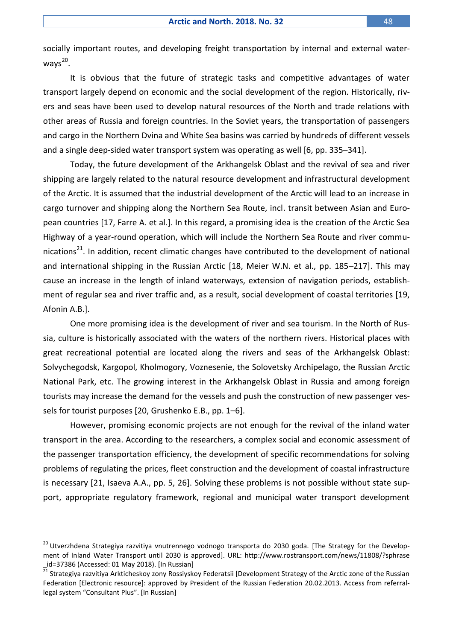socially important routes, and developing freight transportation by internal and external waterways<sup>20</sup>.

It is obvious that the future of strategic tasks and competitive advantages of water transport largely depend on economic and the social development of the region. Historically, rivers and seas have been used to develop natural resources of the North and trade relations with other areas of Russia and foreign countries. In the Soviet years, the transportation of passengers and cargo in the Northern Dvina and White Sea basins was carried by hundreds of different vessels and a single deep-sided water transport system was operating as well [6, pp. 335–341].

Today, the future development of the Arkhangelsk Oblast and the revival of sea and river shipping are largely related to the natural resource development and infrastructural development of the Arctic. It is assumed that the industrial development of the Arctic will lead to an increase in cargo turnover and shipping along the Northern Sea Route, incl. transit between Asian and European countries [17, Farre A. et al.]. In this regard, a promising idea is the creation of the Arctic Sea Highway of a year-round operation, which will include the Northern Sea Route and river communications<sup>21</sup>. In addition, recent climatic changes have contributed to the development of national and international shipping in the Russian Arctic [18, Meier W.N. et al., pp. 185–217]. This may cause an increase in the length of inland waterways, extension of navigation periods, establishment of regular sea and river traffic and, as a result, social development of coastal territories [19, Afonin A.B.].

One more promising idea is the development of river and sea tourism. In the North of Russia, culture is historically associated with the waters of the northern rivers. Historical places with great recreational potential are located along the rivers and seas of the Arkhangelsk Oblast: Solvychegodsk, Kargopol, Kholmogory, Voznesenie, the Solovetsky Archipelago, the Russian Arctic National Park, etc. The growing interest in the Arkhangelsk Oblast in Russia and among foreign tourists may increase the demand for the vessels and push the construction of new passenger vessels for tourist purposes [20, Grushenko E.B., pp. 1–6].

However, promising economic projects are not enough for the revival of the inland water transport in the area. According to the researchers, a complex social and economic assessment of the passenger transportation efficiency, the development of specific recommendations for solving problems of regulating the prices, fleet construction and the development of coastal infrastructure is necessary [21, Isaeva A.A., pp. 5, 26]. Solving these problems is not possible without state support, appropriate regulatory framework, regional and municipal water transport development

<sup>&</sup>lt;sup>20</sup> Utverzhdena Strategiya razvitiya vnutrennego vodnogo transporta do 2030 goda. [The Strategy for the Development of Inland Water Transport until 2030 is approved]. URL: [http://www.rostransport.com/news/11808/?sphrase](http://www.rostransport.com/news/11808/?sphrase%20_id=37386)  [\\_id=37386](http://www.rostransport.com/news/11808/?sphrase%20_id=37386) (Accessed: 01 May 2018). [In Russian]

 $^{\overline{21}}$  Strategiya razvitiya Arkticheskoy zony Rossiyskoy Federatsii [Development Strategy of the Arctic zone of the Russian Federation [Electronic resource]: approved by President of the Russian Federation 20.02.2013. Access from referrallegal system "Consultant Plus". [In Russian]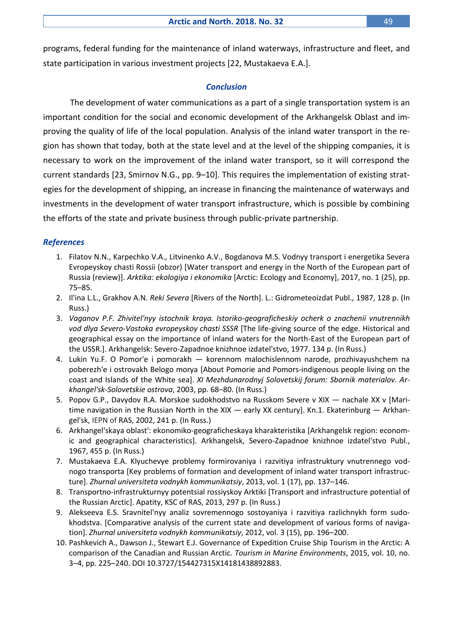programs, federal funding for the maintenance of inland waterways, infrastructure and fleet, and state participation in various investment projects [22, Mustakaeva E.A.].

# *Conclusion*

The development of water communications as a part of a single transportation system is an important condition for the social and economic development of the Arkhangelsk Oblast and improving the quality of life of the local population. Analysis of the inland water transport in the region has shown that today, both at the state level and at the level of the shipping companies, it is necessary to work on the improvement of the inland water transport, so it will correspond the current standards [23, Smirnov N.G., pp. 9–10]. This requires the implementation of existing strategies for the development of shipping, an increase in financing the maintenance of waterways and investments in the development of water transport infrastructure, which is possible by combining the efforts of the state and private business through public-private partnership.

### *References*

- 1. Filatov N.N., Karpechko V.A., Litvinenko A.V., Bogdanova M.S. Vodnyy transport i energetika Severa Evropeyskoy chasti Rossii (obzor) [Water transport and energy in the North of the European part of Russia (review)]. *Arktika: ekologiya i ekonomika* [Arctic: Ecology and Economy], 2017, no. 1 (25), pp. 75–85.
- 2. Il'ina L.L., Grakhov А.N. *Reki Severa* [Rivers of the North]. L.: Gidrometeoizdat Publ., 1987, 128 p. (In Russ.)
- 3. *Vaganov P.F. Zhivitel'nyy istochnik kraya. Istoriko-geograficheskiy ocherk o znachenii vnutrennikh vod dlya Severo-Vostoka evropeyskoy chasti SSSR* [The life-giving source of the edge. Historical and geographical essay on the importance of inland waters for the North-East of the European part of the USSR.]. Arkhangelsk: Severo-Zapadnoe knizhnoe izdatel'stvo, 1977. 134 p. (In Russ.)
- 4. Lukin Yu.F. O Pomor'e i pomorakh korennom malochislennom narode, prozhivayushchem na poberezh'e i ostrovakh Belogo morya [About Pomorie and Pomors-indigenous people living on the coast and Islands of the White sea]. *XI Mezhdunarodnyj Solovetskij forum: Sbornik materialov. Аrkhangel'sk-Solovetskie ostrova*, 2003, pp. 68–80. (In Russ.)
- 5. Popov G.P., Davydov R.A. Morskoe sudokhodstvo na Russkom Severe v XIX nachale XX v [Maritime navigation in the Russian North in the XIX — early XX century]. Kn.1. Ekaterinburg — Arkhangel'sk, IEPN of RАS, 2002, 241 p. (In Russ.)
- 6. Arkhangel'skaya oblast': ekonomiko-geograficheskaya kharakteristika [Arkhangelsk region: economic and geographical characteristics]. Аrkhangelsk, Severo-Zapadnoe knizhnoe izdatel'stvo Publ., 1967, 455 p. (In Russ.)
- 7. Mustakaeva E.A. Klyuchevye problemy formirovaniya i razvitiya infrastruktury vnutrennego vodnogo transporta [Key problems of formation and development of inland water transport infrastructure]. *Zhurnal universiteta vodnykh kommunikatsiy*, 2013, vol. 1 (17), pp. 137–146.
- 8. Transportno-infrastrukturnyy potentsial rossiyskoy Arktiki [Transport and infrastructure potential of the Russian Arctic]. Аpatity, KSC of RAS, 2013, 297 p. (In Russ.)
- 9. Alekseeva E.S. Sravnitel'nyy analiz sovremennogo sostoyaniya i razvitiya razlichnykh form sudokhodstva. [Comparative analysis of the current state and development of various forms of navigation]. *Zhurnal universiteta vodnykh kommunikatsiy*, 2012, vol. 3 (15), pp. 196–200.
- 10. Pashkevich A., Dawson J., Stewart E.J. Governance of Expedition Cruise Ship Tourism in the Arctic: A comparison of the Canadian and Russian Arctic. *Tourism in Marine Environments*, 2015, vol. 10, no. 3–4, pp. 225–240. DOI 10.3727/154427315X14181438892883.